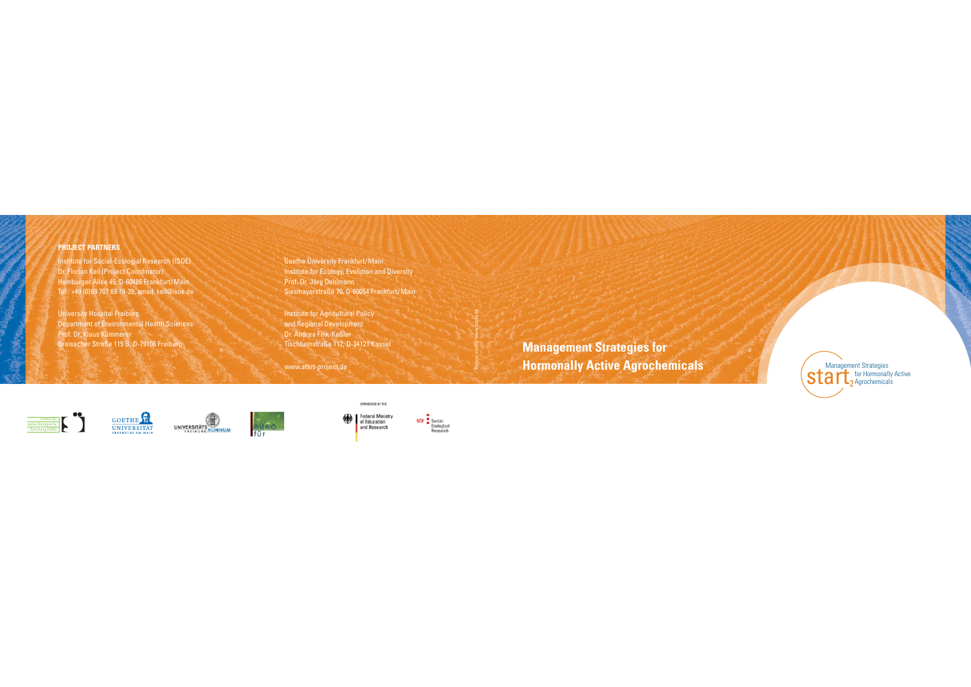#### **PROJECT PARTNERS**

Institute for Social-Ecologial Research (ISOE) Dr. Florian Keil (Project Coordinator) Hamburger Allee 45, D-60486 Frankfurt/Main Tel.: +49 (0)69 707 69 19-39, email: keil@isoe.de

University Hospital Freiburg Department of Environmental Health Sciences Prof. Dr. Klaus Kümmerer Breisacher Straße 115 B, D-79106 Freiburg

Goethe University Frankfurt/Main **Institute for Ecology, Evolution and Diversity** Prof. Dr. Jörg Oehlmann Siesmayerstraße 70, D-60054 Frankfurt/Main

Institute for Agricultural Policy and Regional Development Dr. Andrea Fink-Keßler Tischbeinstraße 112, D-34121 Kassel

www.start-project.de









Research

SPONSORED BY THE

**Management Strategies for**